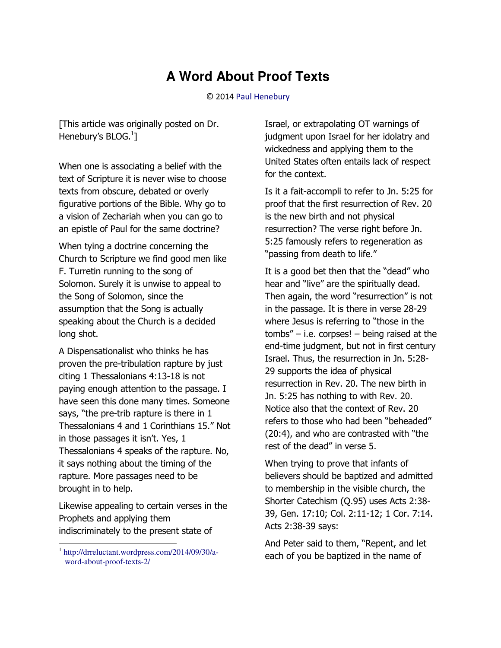## **A Word About Proof Texts**

## © 201[4 Paul Henebury](http://www.spiritandtruth.org/id/ph.htm)

[This article was originally posted on Dr. Henebury's BLOG. $^{1}$ ]

When one is associating a belief with the text of Scripture it is never wise to choose texts from obscure, debated or overly figurative portions of the Bible. Why go to a vision of Zechariah when you can go to an epistle of Paul for the same doctrine?

When tying a doctrine concerning the Church to Scripture we find good men like F. Turretin running to the song of Solomon. Surely it is unwise to appeal to the Song of Solomon, since the assumption that the Song is actually speaking about the Church is a decided long shot.

A Dispensationalist who thinks he has proven the pre-tribulation rapture by just citing 1 Thessalonians 4:13-18 is not paying enough attention to the passage. I have seen this done many times. Someone says, "the pre-trib rapture is there in 1 Thessalonians 4 and 1 Corinthians 15." Not in those passages it isn't. Yes, 1 Thessalonians 4 speaks of the rapture. No, it says nothing about the timing of the rapture. More passages need to be brought in to help.

Likewise appealing to certain verses in the Prophets and applying them indiscriminately to the present state of

 $\overline{\phantom{0}}$ 

Israel, or extrapolating OT warnings of judgment upon Israel for her idolatry and wickedness and applying them to the United States often entails lack of respect for the context.

Is it a fait-accompli to refer to Jn. 5:25 for proof that the first resurrection of Rev. 20 is the new birth and not physical resurrection? The verse right before Jn. 5:25 famously refers to regeneration as "passing from death to life."

It is a good bet then that the "dead" who hear and "live" are the spiritually dead. Then again, the word "resurrection" is not in the passage. It is there in verse 28-29 where Jesus is referring to "those in the tombs" – i.e. corpses! – being raised at the end-time judgment, but not in first century Israel. Thus, the resurrection in Jn. 5:28- 29 supports the idea of physical resurrection in Rev. 20. The new birth in Jn. 5:25 has nothing to with Rev. 20. Notice also that the context of Rev. 20 refers to those who had been "beheaded" (20:4), and who are contrasted with "the rest of the dead" in verse 5.

When trying to prove that infants of believers should be baptized and admitted to membership in the visible church, the Shorter Catechism (Q.95) uses Acts 2:38- 39, Gen. 17:10; Col. 2:11-12; 1 Cor. 7:14. Acts 2:38-39 says:

And Peter said to them, "Repent, and let each of you be baptized in the name of

<sup>1</sup> [http://drreluctant.wordpress.com/2014/09/30/a](http://drreluctant.wordpress.com/2014/09/30/a-word-about-proof-texts-2/)[word-about-proof-texts-2/](http://drreluctant.wordpress.com/2014/09/30/a-word-about-proof-texts-2/)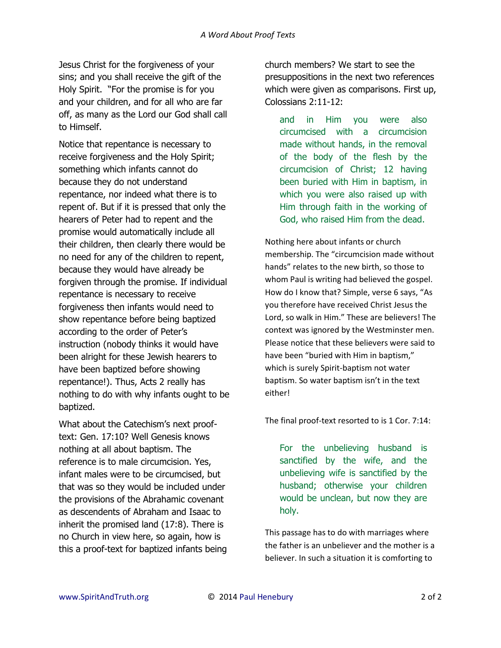Jesus Christ for the forgiveness of your sins; and you shall receive the gift of the Holy Spirit. "For the promise is for you and your children, and for all who are far off, as many as the Lord our God shall call to Himself.

Notice that repentance is necessary to receive forgiveness and the Holy Spirit; something which infants cannot do because they do not understand repentance, nor indeed what there is to repent of. But if it is pressed that only the hearers of Peter had to repent and the promise would automatically include all their children, then clearly there would be no need for any of the children to repent, because they would have already be forgiven through the promise. If individual repentance is necessary to receive forgiveness then infants would need to show repentance before being baptized according to the order of Peter's instruction (nobody thinks it would have been alright for these Jewish hearers to have been baptized before showing repentance!). Thus, Acts 2 really has nothing to do with why infants ought to be baptized.

What about the Catechism's next prooftext: Gen. 17:10? Well Genesis knows nothing at all about baptism. The reference is to male circumcision. Yes, infant males were to be circumcised, but that was so they would be included under the provisions of the Abrahamic covenant as descendents of Abraham and Isaac to inherit the promised land (17:8). There is no Church in view here, so again, how is this a proof-text for baptized infants being church members? We start to see the presuppositions in the next two references which were given as comparisons. First up, Colossians 2:11-12:

and in Him you were also circumcised with a circumcision made without hands, in the removal of the body of the flesh by the circumcision of Christ; 12 having been buried with Him in baptism, in which you were also raised up with Him through faith in the working of God, who raised Him from the dead.

Nothing here about infants or church membership. The "circumcision made without hands" relates to the new birth, so those to whom Paul is writing had believed the gospel. How do I know that? Simple, verse 6 says, "As you therefore have received Christ Jesus the Lord, so walk in Him." These are believers! The context was ignored by the Westminster men. Please notice that these believers were said to have been "buried with Him in baptism," which is surely Spirit-baptism not water baptism. So water baptism isn't in the text either!

The final proof-text resorted to is 1 Cor. 7:14:

For the unbelieving husband is sanctified by the wife, and the unbelieving wife is sanctified by the husband; otherwise your children would be unclean, but now they are holy.

This passage has to do with marriages where the father is an unbeliever and the mother is a believer. In such a situation it is comforting to